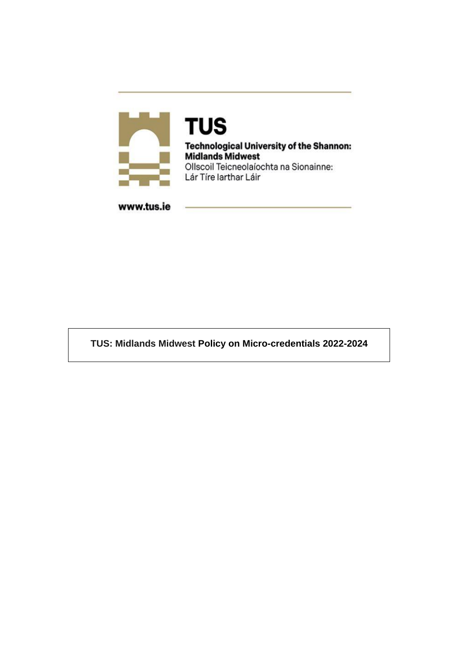

**TUS Technological University of the Shannon: Midlands Midwest** Ollscoil Teicneolaíochta na Sionainne: Lár Tíre Iarthar Láir

www.tus.ie

**TUS: Midlands Midwest Policy on Micro-credentials 2022-2024**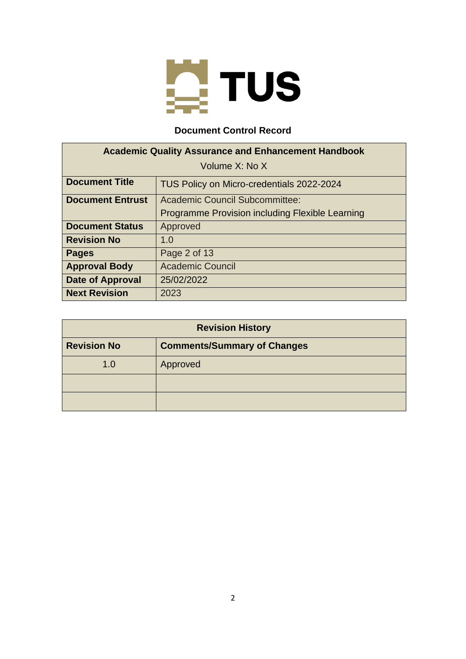

## **Document Control Record**

| <b>Academic Quality Assurance and Enhancement Handbook</b> |                                                 |  |
|------------------------------------------------------------|-------------------------------------------------|--|
| Volume X: No X                                             |                                                 |  |
| <b>Document Title</b>                                      | TUS Policy on Micro-credentials 2022-2024       |  |
| <b>Document Entrust</b>                                    | Academic Council Subcommittee:                  |  |
|                                                            | Programme Provision including Flexible Learning |  |
| <b>Document Status</b>                                     | Approved                                        |  |
| <b>Revision No</b>                                         | 1.0                                             |  |
| <b>Pages</b>                                               | Page 2 of 13                                    |  |
| <b>Approval Body</b>                                       | <b>Academic Council</b>                         |  |
| <b>Date of Approval</b>                                    | 25/02/2022                                      |  |
| <b>Next Revision</b>                                       | 2023                                            |  |

| <b>Revision History</b>                                  |          |  |
|----------------------------------------------------------|----------|--|
| <b>Revision No</b><br><b>Comments/Summary of Changes</b> |          |  |
| 1.0                                                      | Approved |  |
|                                                          |          |  |
|                                                          |          |  |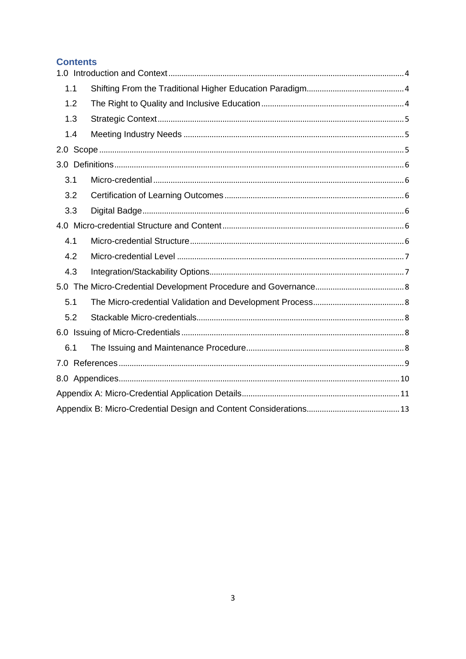# **Contents**

| 1.1 |  |  |
|-----|--|--|
| 1.2 |  |  |
| 1.3 |  |  |
| 1.4 |  |  |
|     |  |  |
|     |  |  |
| 3.1 |  |  |
| 3.2 |  |  |
| 3.3 |  |  |
|     |  |  |
| 4.1 |  |  |
| 4.2 |  |  |
| 4.3 |  |  |
|     |  |  |
| 5.1 |  |  |
| 5.2 |  |  |
|     |  |  |
| 6.1 |  |  |
|     |  |  |
|     |  |  |
|     |  |  |
|     |  |  |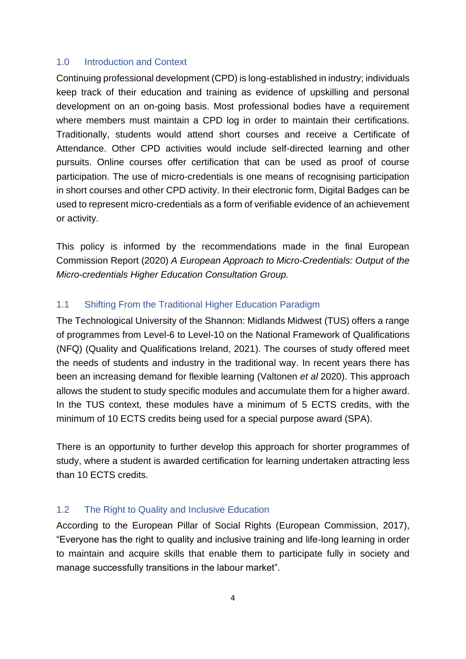#### <span id="page-3-0"></span>1.0 Introduction and Context

Continuing professional development (CPD) is long-established in industry; individuals keep track of their education and training as evidence of upskilling and personal development on an on-going basis. Most professional bodies have a requirement where members must maintain a CPD log in order to maintain their certifications. Traditionally, students would attend short courses and receive a Certificate of Attendance. Other CPD activities would include self-directed learning and other pursuits. Online courses offer certification that can be used as proof of course participation. The use of micro-credentials is one means of recognising participation in short courses and other CPD activity. In their electronic form, Digital Badges can be used to represent micro-credentials as a form of verifiable evidence of an achievement or activity.

This policy is informed by the recommendations made in the final European Commission Report (2020) *A European Approach to Micro-Credentials: Output of the Micro-credentials Higher Education Consultation Group.*

## <span id="page-3-1"></span>1.1 Shifting From the Traditional Higher Education Paradigm

The Technological University of the Shannon: Midlands Midwest (TUS) offers a range of programmes from Level-6 to Level-10 on the National Framework of Qualifications (NFQ) (Quality and Qualifications Ireland, 2021). The courses of study offered meet the needs of students and industry in the traditional way. In recent years there has been an increasing demand for flexible learning (Valtonen *et al* 2020). This approach allows the student to study specific modules and accumulate them for a higher award. In the TUS context, these modules have a minimum of 5 ECTS credits, with the minimum of 10 ECTS credits being used for a special purpose award (SPA).

There is an opportunity to further develop this approach for shorter programmes of study, where a student is awarded certification for learning undertaken attracting less than 10 ECTS credits.

#### <span id="page-3-2"></span>1.2 The Right to Quality and Inclusive Education

According to the European Pillar of Social Rights (European Commission, 2017), "Everyone has the right to quality and inclusive training and life-long learning in order to maintain and acquire skills that enable them to participate fully in society and manage successfully transitions in the labour market".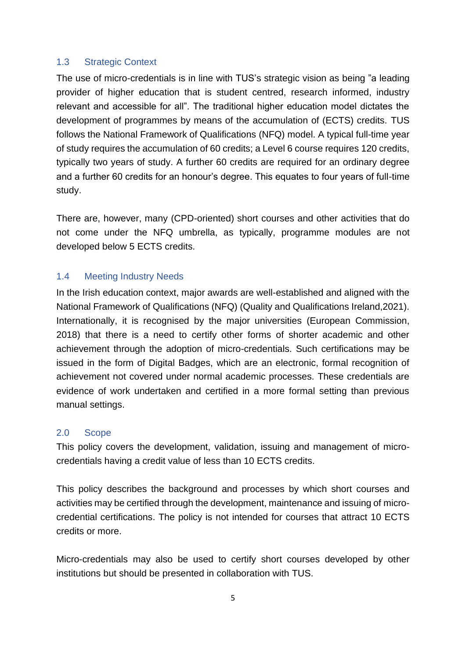## <span id="page-4-0"></span>1.3 Strategic Context

The use of micro-credentials is in line with TUS's strategic vision as being "a leading provider of higher education that is student centred, research informed, industry relevant and accessible for all". The traditional higher education model dictates the development of programmes by means of the accumulation of (ECTS) credits. TUS follows the National Framework of Qualifications (NFQ) model. A typical full-time year of study requires the accumulation of 60 credits; a Level 6 course requires 120 credits, typically two years of study. A further 60 credits are required for an ordinary degree and a further 60 credits for an honour's degree. This equates to four years of full-time study.

There are, however, many (CPD-oriented) short courses and other activities that do not come under the NFQ umbrella, as typically, programme modules are not developed below 5 ECTS credits.

## <span id="page-4-1"></span>1.4 Meeting Industry Needs

In the Irish education context, major awards are well-established and aligned with the National Framework of Qualifications (NFQ) (Quality and Qualifications Ireland,2021). Internationally, it is recognised by the major universities (European Commission, 2018) that there is a need to certify other forms of shorter academic and other achievement through the adoption of micro-credentials. Such certifications may be issued in the form of Digital Badges, which are an electronic, formal recognition of achievement not covered under normal academic processes. These credentials are evidence of work undertaken and certified in a more formal setting than previous manual settings.

## <span id="page-4-2"></span>2.0 Scope

This policy covers the development, validation, issuing and management of microcredentials having a credit value of less than 10 ECTS credits.

This policy describes the background and processes by which short courses and activities may be certified through the development, maintenance and issuing of microcredential certifications. The policy is not intended for courses that attract 10 ECTS credits or more.

Micro-credentials may also be used to certify short courses developed by other institutions but should be presented in collaboration with TUS.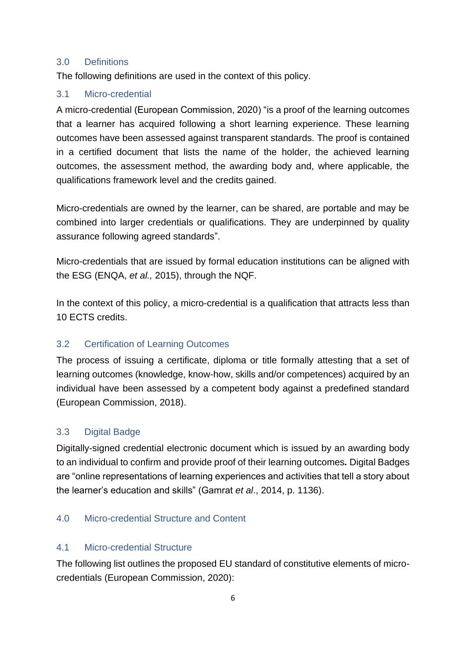## <span id="page-5-0"></span>3.0 Definitions

The following definitions are used in the context of this policy.

## <span id="page-5-1"></span>3.1 Micro-credential

A micro-credential (European Commission, 2020) "is a proof of the learning outcomes that a learner has acquired following a short learning experience. These learning outcomes have been assessed against transparent standards. The proof is contained in a certified document that lists the name of the holder, the achieved learning outcomes, the assessment method, the awarding body and, where applicable, the qualifications framework level and the credits gained.

Micro-credentials are owned by the learner, can be shared, are portable and may be combined into larger credentials or qualifications. They are underpinned by quality assurance following agreed standards".

Micro-credentials that are issued by formal education institutions can be aligned with the ESG (ENQA, *et al.,* 2015), through the NQF.

In the context of this policy, a micro-credential is a qualification that attracts less than 10 ECTS credits.

## <span id="page-5-2"></span>3.2 Certification of Learning Outcomes

The process of issuing a certificate, diploma or title formally attesting that a set of learning outcomes (knowledge, know-how, skills and/or competences) acquired by an individual have been assessed by a competent body against a predefined standard (European Commission, 2018).

## <span id="page-5-3"></span>3.3 Digital Badge

Digitally-signed credential electronic document which is issued by an awarding body to an individual to confirm and provide proof of their learning outcomes*.* Digital Badges are "online representations of learning experiences and activities that tell a story about the learner's education and skills" (Gamrat *et al*., 2014, p. 1136).

# <span id="page-5-4"></span>4.0 Micro-credential Structure and Content

## <span id="page-5-5"></span>4.1 Micro-credential Structure

The following list outlines the proposed EU standard of constitutive elements of microcredentials (European Commission, 2020):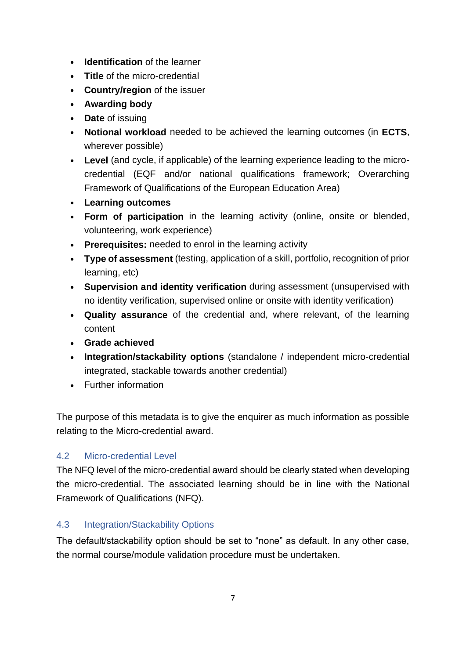- **Identification** of the learner
- **Title** of the micro-credential
- **Country/region** of the issuer
- **Awarding body**
- **Date** of issuing
- **Notional workload** needed to be achieved the learning outcomes (in **ECTS**, wherever possible)
- **Level** (and cycle, if applicable) of the learning experience leading to the microcredential (EQF and/or national qualifications framework; Overarching Framework of Qualifications of the European Education Area)
- **Learning outcomes**
- **Form of participation** in the learning activity (online, onsite or blended, volunteering, work experience)
- **Prerequisites:** needed to enrol in the learning activity
- **Type of assessment** (testing, application of a skill, portfolio, recognition of prior learning, etc)
- **Supervision and identity verification** during assessment (unsupervised with no identity verification, supervised online or onsite with identity verification)
- **Quality assurance** of the credential and, where relevant, of the learning content
- **Grade achieved**
- **Integration/stackability options** (standalone / independent micro-credential integrated, stackable towards another credential)
- Further information

The purpose of this metadata is to give the enquirer as much information as possible relating to the Micro-credential award.

# <span id="page-6-0"></span>4.2 Micro-credential Level

The NFQ level of the micro-credential award should be clearly stated when developing the micro-credential. The associated learning should be in line with the National Framework of Qualifications (NFQ).

# <span id="page-6-1"></span>4.3 Integration/Stackability Options

The default/stackability option should be set to "none" as default. In any other case, the normal course/module validation procedure must be undertaken.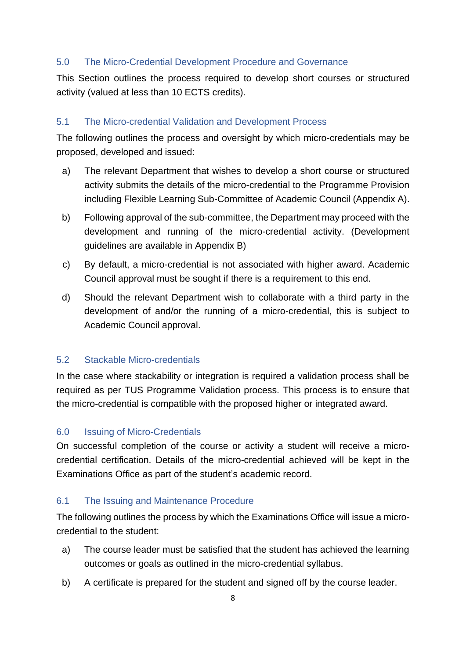## <span id="page-7-0"></span>5.0 The Micro-Credential Development Procedure and Governance

This Section outlines the process required to develop short courses or structured activity (valued at less than 10 ECTS credits).

## <span id="page-7-1"></span>5.1 The Micro-credential Validation and Development Process

The following outlines the process and oversight by which micro-credentials may be proposed, developed and issued:

- a) The relevant Department that wishes to develop a short course or structured activity submits the details of the micro-credential to the Programme Provision including Flexible Learning Sub-Committee of Academic Council (Appendix A).
- b) Following approval of the sub-committee, the Department may proceed with the development and running of the micro-credential activity. (Development guidelines are available in Appendix B)
- c) By default, a micro-credential is not associated with higher award. Academic Council approval must be sought if there is a requirement to this end.
- d) Should the relevant Department wish to collaborate with a third party in the development of and/or the running of a micro-credential, this is subject to Academic Council approval.

## <span id="page-7-2"></span>5.2 Stackable Micro-credentials

In the case where stackability or integration is required a validation process shall be required as per TUS Programme Validation process. This process is to ensure that the micro-credential is compatible with the proposed higher or integrated award.

## <span id="page-7-3"></span>6.0 Issuing of Micro-Credentials

On successful completion of the course or activity a student will receive a microcredential certification. Details of the micro-credential achieved will be kept in the Examinations Office as part of the student's academic record.

## <span id="page-7-4"></span>6.1 The Issuing and Maintenance Procedure

The following outlines the process by which the Examinations Office will issue a microcredential to the student:

- a) The course leader must be satisfied that the student has achieved the learning outcomes or goals as outlined in the micro-credential syllabus.
- b) A certificate is prepared for the student and signed off by the course leader.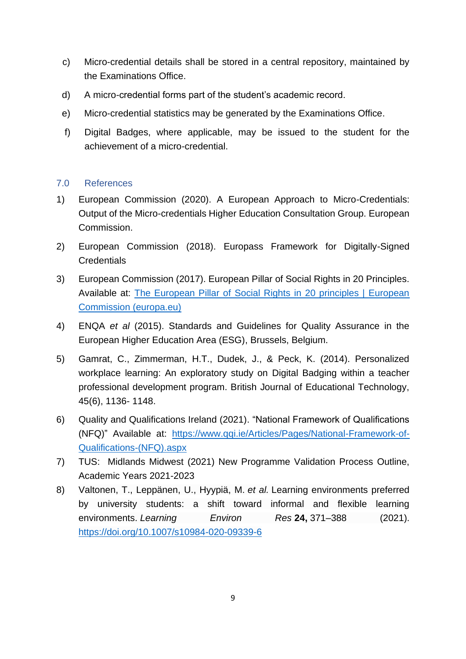- c) Micro-credential details shall be stored in a central repository, maintained by the Examinations Office.
- d) A micro-credential forms part of the student's academic record.
- e) Micro-credential statistics may be generated by the Examinations Office.
- f) Digital Badges, where applicable, may be issued to the student for the achievement of a micro-credential.

## <span id="page-8-0"></span>7.0 References

- 1) European Commission (2020). A European Approach to Micro-Credentials: Output of the Micro-credentials Higher Education Consultation Group. European Commission.
- 2) European Commission (2018). Europass Framework for Digitally-Signed **Credentials**
- 3) European Commission (2017). European Pillar of Social Rights in 20 Principles. Available at: [The European Pillar of Social Rights in 20 principles | European](https://ec.europa.eu/info/strategy/priorities-2019-2024/economy-works-people/jobs-growth-and-investment/european-pillar-social-rights/european-pillar-social-rights-20-principles_en)  [Commission \(europa.eu\)](https://ec.europa.eu/info/strategy/priorities-2019-2024/economy-works-people/jobs-growth-and-investment/european-pillar-social-rights/european-pillar-social-rights-20-principles_en)
- 4) ENQA *et al* (2015). Standards and Guidelines for Quality Assurance in the European Higher Education Area (ESG), Brussels, Belgium.
- 5) Gamrat, C., Zimmerman, H.T., Dudek, J., & Peck, K. (2014). Personalized workplace learning: An exploratory study on Digital Badging within a teacher professional development program. British Journal of Educational Technology, 45(6), 1136- 1148.
- 6) Quality and Qualifications Ireland (2021). "National Framework of Qualifications (NFQ)" Available at: [https://www.qqi.ie/Articles/Pages/National-Framework-of-](https://www.qqi.ie/Articles/Pages/National-Framework-of-Qualifications-(NFQ).aspx)[Qualifications-\(NFQ\).aspx](https://www.qqi.ie/Articles/Pages/National-Framework-of-Qualifications-(NFQ).aspx)
- 7) TUS: Midlands Midwest (2021) New Programme Validation Process Outline, Academic Years 2021-2023
- 8) Valtonen, T., Leppänen, U., Hyypiä, M. *et al.* Learning environments preferred by university students: a shift toward informal and flexible learning environments. *Learning Environ Res* **24,** 371–388 (2021). <https://doi.org/10.1007/s10984-020-09339-6>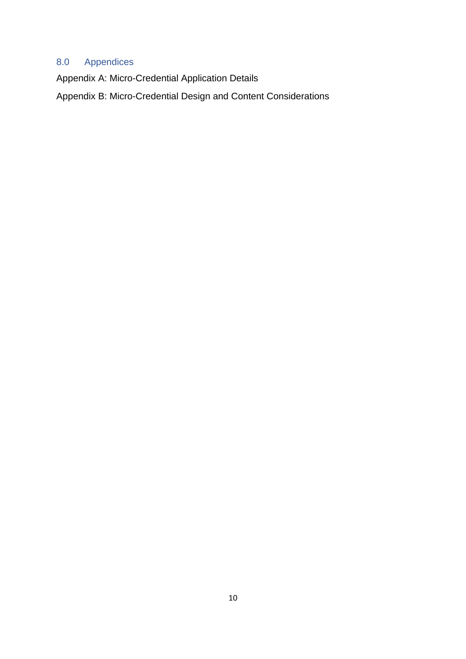# <span id="page-9-0"></span>8.0 Appendices

Appendix A: Micro-Credential Application Details

Appendix B: Micro-Credential Design and Content Considerations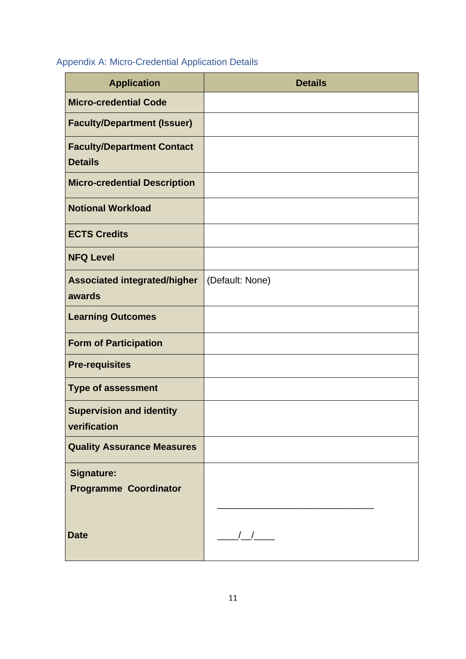# <span id="page-10-0"></span>Appendix A: Micro-Credential Application Details

| <b>Application</b>                                  | <b>Details</b>  |
|-----------------------------------------------------|-----------------|
| <b>Micro-credential Code</b>                        |                 |
| <b>Faculty/Department (Issuer)</b>                  |                 |
| <b>Faculty/Department Contact</b><br><b>Details</b> |                 |
| <b>Micro-credential Description</b>                 |                 |
| <b>Notional Workload</b>                            |                 |
| <b>ECTS Credits</b>                                 |                 |
| <b>NFQ Level</b>                                    |                 |
| <b>Associated integrated/higher</b><br>awards       | (Default: None) |
| <b>Learning Outcomes</b>                            |                 |
| <b>Form of Participation</b>                        |                 |
| <b>Pre-requisites</b>                               |                 |
| <b>Type of assessment</b>                           |                 |
| <b>Supervision and identity</b><br>verification     |                 |
| <b>Quality Assurance Measures</b>                   |                 |
| <b>Signature:</b><br><b>Programme Coordinator</b>   |                 |
| <b>Date</b>                                         | $\frac{1}{2}$   |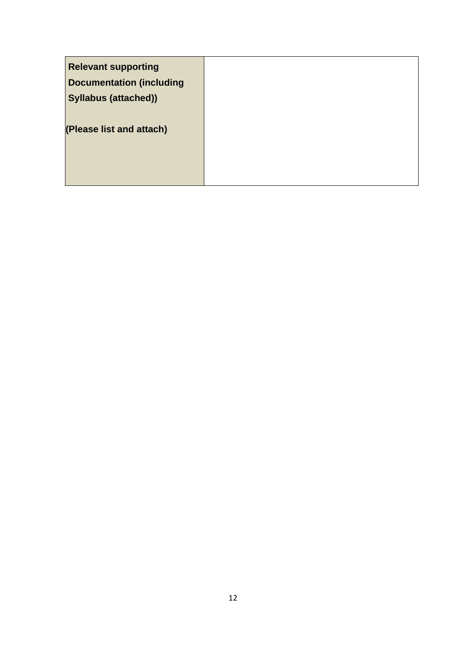| <b>Relevant supporting</b><br><b>Documentation (including</b><br><b>Syllabus (attached))</b> |  |
|----------------------------------------------------------------------------------------------|--|
| (Please list and attach)                                                                     |  |